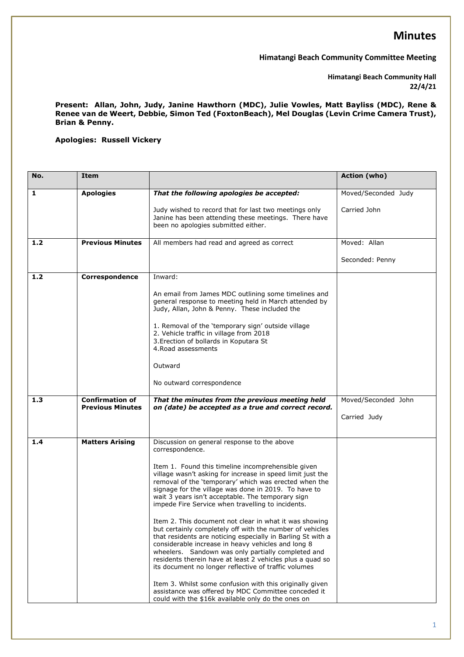**Himatangi Beach Community Committee Meeting**

**Himatangi Beach Community Hall 22/4/21**

**Present: Allan, John, Judy, Janine Hawthorn (MDC), Julie Vowles, Matt Bayliss (MDC), Rene & Renee van de Weert, Debbie, Simon Ted (FoxtonBeach), Mel Douglas (Levin Crime Camera Trust), Brian & Penny.**

**Apologies: Russell Vickery**

| No. | Item                                              |                                                                                                                                                                                                                                                                                                                                                                                                                    | Action (who)        |
|-----|---------------------------------------------------|--------------------------------------------------------------------------------------------------------------------------------------------------------------------------------------------------------------------------------------------------------------------------------------------------------------------------------------------------------------------------------------------------------------------|---------------------|
| 1   | <b>Apologies</b>                                  | That the following apologies be accepted:                                                                                                                                                                                                                                                                                                                                                                          | Moved/Seconded Judy |
|     |                                                   | Judy wished to record that for last two meetings only<br>Janine has been attending these meetings. There have<br>been no apologies submitted either.                                                                                                                                                                                                                                                               | Carried John        |
| 1.2 | <b>Previous Minutes</b>                           | All members had read and agreed as correct                                                                                                                                                                                                                                                                                                                                                                         | Moved: Allan        |
|     |                                                   |                                                                                                                                                                                                                                                                                                                                                                                                                    | Seconded: Penny     |
| 1.2 | Correspondence                                    | Inward:                                                                                                                                                                                                                                                                                                                                                                                                            |                     |
|     |                                                   | An email from James MDC outlining some timelines and<br>general response to meeting held in March attended by<br>Judy, Allan, John & Penny. These included the                                                                                                                                                                                                                                                     |                     |
|     |                                                   | 1. Removal of the 'temporary sign' outside village<br>2. Vehicle traffic in village from 2018<br>3. Erection of bollards in Koputara St<br>4. Road assessments                                                                                                                                                                                                                                                     |                     |
|     |                                                   | Outward                                                                                                                                                                                                                                                                                                                                                                                                            |                     |
|     |                                                   | No outward correspondence                                                                                                                                                                                                                                                                                                                                                                                          |                     |
| 1.3 | <b>Confirmation of</b><br><b>Previous Minutes</b> | That the minutes from the previous meeting held<br>on (date) be accepted as a true and correct record.                                                                                                                                                                                                                                                                                                             | Moved/Seconded John |
|     |                                                   |                                                                                                                                                                                                                                                                                                                                                                                                                    | Carried Judy        |
| 1.4 | <b>Matters Arising</b>                            | Discussion on general response to the above<br>correspondence.                                                                                                                                                                                                                                                                                                                                                     |                     |
|     |                                                   | Item 1. Found this timeline incomprehensible given<br>village wasn't asking for increase in speed limit just the<br>removal of the 'temporary' which was erected when the<br>signage for the village was done in 2019. To have to<br>wait 3 years isn't acceptable. The temporary sign<br>impede Fire Service when travelling to incidents.                                                                        |                     |
|     |                                                   | Item 2. This document not clear in what it was showing<br>but certainly completely off with the number of vehicles<br>that residents are noticing especially in Barling St with a<br>considerable increase in heavy vehicles and long 8<br>wheelers. Sandown was only partially completed and<br>residents therein have at least 2 vehicles plus a quad so<br>its document no longer reflective of traffic volumes |                     |
|     |                                                   | Item 3. Whilst some confusion with this originally given<br>assistance was offered by MDC Committee conceded it<br>could with the \$16k available only do the ones on                                                                                                                                                                                                                                              |                     |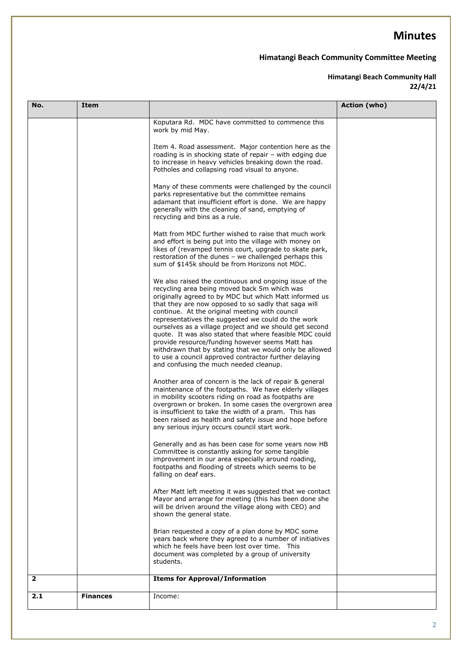### **Himatangi Beach Community Committee Meeting**

#### **Himatangi Beach Community Hall 22/4/21**

| No.          | Item            |                                                                                                                                                                                                                                                                                                                                                                                                                                                                                                                                                                                                                        | Action (who) |
|--------------|-----------------|------------------------------------------------------------------------------------------------------------------------------------------------------------------------------------------------------------------------------------------------------------------------------------------------------------------------------------------------------------------------------------------------------------------------------------------------------------------------------------------------------------------------------------------------------------------------------------------------------------------------|--------------|
|              |                 | Koputara Rd. MDC have committed to commence this<br>work by mid May.<br>Item 4. Road assessment. Major contention here as the<br>roading is in shocking state of repair - with edging due<br>to increase in heavy vehicles breaking down the road.<br>Potholes and collapsing road visual to anyone.<br>Many of these comments were challenged by the council<br>parks representative but the committee remains<br>adamant that insufficient effort is done. We are happy<br>generally with the cleaning of sand, emptying of<br>recycling and bins as a rule.<br>Matt from MDC further wished to raise that much work |              |
|              |                 | and effort is being put into the village with money on<br>likes of (revamped tennis court, upgrade to skate park,<br>restoration of the dunes - we challenged perhaps this<br>sum of \$145k should be from Horizons not MDC.<br>We also raised the continuous and ongoing issue of the<br>recycling area being moved back 5m which was<br>originally agreed to by MDC but which Matt informed us                                                                                                                                                                                                                       |              |
|              |                 | that they are now opposed to so sadly that saga will<br>continue. At the original meeting with council<br>representatives the suggested we could do the work<br>ourselves as a village project and we should get second<br>quote. It was also stated that where feasible MDC could<br>provide resource/funding however seems Matt has<br>withdrawn that by stating that we would only be allowed<br>to use a council approved contractor further delaying<br>and confusing the much needed cleanup.                                                                                                                    |              |
|              |                 | Another area of concern is the lack of repair & general<br>maintenance of the footpaths. We have elderly villages<br>in mobility scooters riding on road as footpaths are<br>overgrown or broken. In some cases the overgrown area<br>is insufficient to take the width of a pram. This has<br>been raised as health and safety issue and hope before<br>any serious injury occurs council start work.                                                                                                                                                                                                                 |              |
|              |                 | Generally and as has been case for some years now HB<br>Committee is constantly asking for some tangible<br>improvement in our area especially around roading,<br>footpaths and flooding of streets which seems to be<br>falling on deaf ears.                                                                                                                                                                                                                                                                                                                                                                         |              |
|              |                 | After Matt left meeting it was suggested that we contact<br>Mayor and arrange for meeting (this has been done she<br>will be driven around the village along with CEO) and<br>shown the general state.                                                                                                                                                                                                                                                                                                                                                                                                                 |              |
|              |                 | Brian requested a copy of a plan done by MDC some<br>years back where they agreed to a number of initiatives<br>which he feels have been lost over time. This<br>document was completed by a group of university<br>students.                                                                                                                                                                                                                                                                                                                                                                                          |              |
| $\mathbf{2}$ |                 | <b>Items for Approval/Information</b>                                                                                                                                                                                                                                                                                                                                                                                                                                                                                                                                                                                  |              |
| 2.1          | <b>Finances</b> | Income:                                                                                                                                                                                                                                                                                                                                                                                                                                                                                                                                                                                                                |              |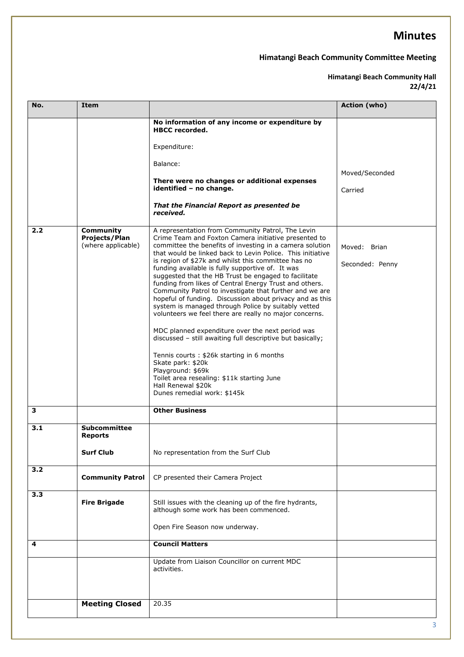### **Himatangi Beach Community Committee Meeting**

#### **Himatangi Beach Community Hall 22/4/21**

| No. | <b>Item</b>                                             |                                                                                                                                                                                                                                                                                                                                                                                                                                                                                                                                                                                                                                                                                                                                                                                                                                                                                                                                                                                                                      | Action (who)                    |
|-----|---------------------------------------------------------|----------------------------------------------------------------------------------------------------------------------------------------------------------------------------------------------------------------------------------------------------------------------------------------------------------------------------------------------------------------------------------------------------------------------------------------------------------------------------------------------------------------------------------------------------------------------------------------------------------------------------------------------------------------------------------------------------------------------------------------------------------------------------------------------------------------------------------------------------------------------------------------------------------------------------------------------------------------------------------------------------------------------|---------------------------------|
|     |                                                         | No information of any income or expenditure by<br><b>HBCC</b> recorded.<br>Expenditure:<br>Balance:<br>There were no changes or additional expenses<br>identified - no change.<br>That the Financial Report as presented be<br>received.                                                                                                                                                                                                                                                                                                                                                                                                                                                                                                                                                                                                                                                                                                                                                                             | Moved/Seconded<br>Carried       |
| 2.2 | <b>Community</b><br>Projects/Plan<br>(where applicable) | A representation from Community Patrol, The Levin<br>Crime Team and Foxton Camera initiative presented to<br>committee the benefits of investing in a camera solution<br>that would be linked back to Levin Police. This initiative<br>is region of \$27k and whilst this committee has no<br>funding available is fully supportive of. It was<br>suggested that the HB Trust be engaged to facilitate<br>funding from likes of Central Energy Trust and others.<br>Community Patrol to investigate that further and we are<br>hopeful of funding. Discussion about privacy and as this<br>system is managed through Police by suitably vetted<br>volunteers we feel there are really no major concerns.<br>MDC planned expenditure over the next period was<br>discussed - still awaiting full descriptive but basically;<br>Tennis courts: \$26k starting in 6 months<br>Skate park: \$20k<br>Playground: \$69k<br>Toilet area resealing: \$11k starting June<br>Hall Renewal \$20k<br>Dunes remedial work: \$145k | Moved: Brian<br>Seconded: Penny |
| 3   |                                                         | <b>Other Business</b>                                                                                                                                                                                                                                                                                                                                                                                                                                                                                                                                                                                                                                                                                                                                                                                                                                                                                                                                                                                                |                                 |
| 3.1 | Subcommittee<br><b>Reports</b><br><b>Surf Club</b>      | No representation from the Surf Club                                                                                                                                                                                                                                                                                                                                                                                                                                                                                                                                                                                                                                                                                                                                                                                                                                                                                                                                                                                 |                                 |
| 3.2 | <b>Community Patrol</b>                                 | CP presented their Camera Project                                                                                                                                                                                                                                                                                                                                                                                                                                                                                                                                                                                                                                                                                                                                                                                                                                                                                                                                                                                    |                                 |
| 3.3 | <b>Fire Brigade</b>                                     | Still issues with the cleaning up of the fire hydrants,<br>although some work has been commenced.<br>Open Fire Season now underway.                                                                                                                                                                                                                                                                                                                                                                                                                                                                                                                                                                                                                                                                                                                                                                                                                                                                                  |                                 |
| 4   |                                                         | <b>Council Matters</b>                                                                                                                                                                                                                                                                                                                                                                                                                                                                                                                                                                                                                                                                                                                                                                                                                                                                                                                                                                                               |                                 |
|     |                                                         | Update from Liaison Councillor on current MDC<br>activities.                                                                                                                                                                                                                                                                                                                                                                                                                                                                                                                                                                                                                                                                                                                                                                                                                                                                                                                                                         |                                 |
|     | <b>Meeting Closed</b>                                   | 20.35                                                                                                                                                                                                                                                                                                                                                                                                                                                                                                                                                                                                                                                                                                                                                                                                                                                                                                                                                                                                                |                                 |